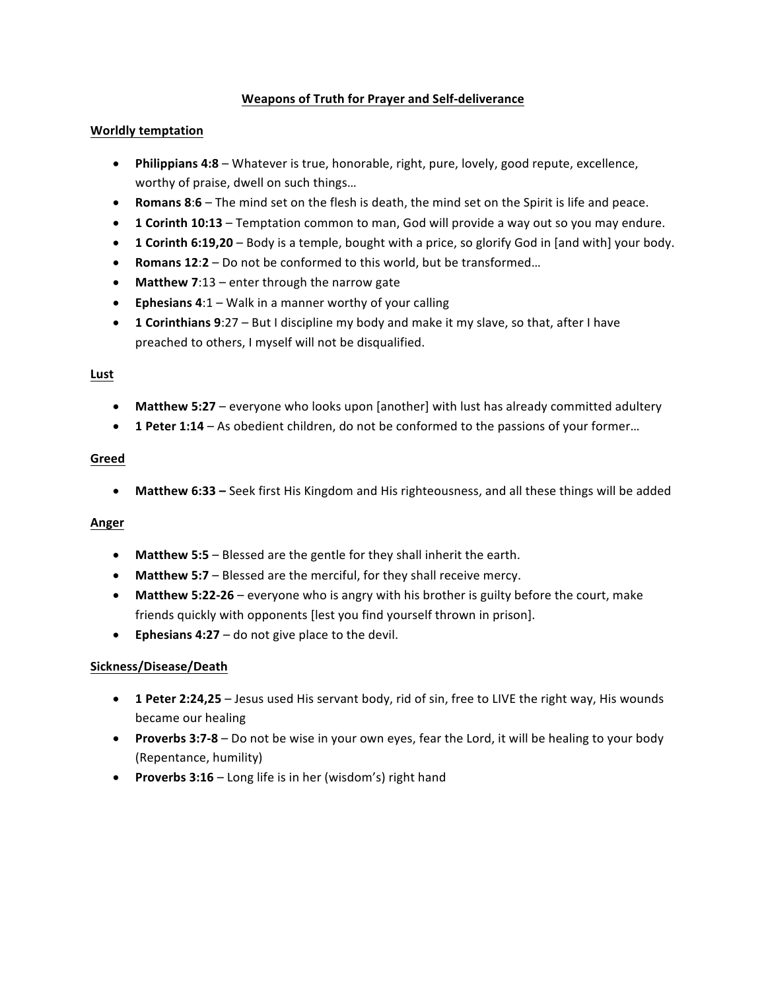# **Weapons of Truth for Prayer and Self-deliverance**

## **Worldly temptation**

- Philippians 4:8 Whatever is true, honorable, right, pure, lovely, good repute, excellence, worthy of praise, dwell on such things...
- **Romans 8:6** The mind set on the flesh is death, the mind set on the Spirit is life and peace.
- 1 Corinth 10:13 Temptation common to man, God will provide a way out so you may endure.
- **1 Corinth 6:19,20** Body is a temple, bought with a price, so glorify God in [and with] your body.
- Romans 12:2 Do not be conformed to this world, but be transformed...
- Matthew 7:13 enter through the narrow gate
- **Ephesians 4:1** Walk in a manner worthy of your calling
- **1 Corinthians 9:27** But I discipline my body and make it my slave, so that, after I have preached to others, I myself will not be disqualified.

## **Lust**

- Matthew 5:27 everyone who looks upon [another] with lust has already committed adultery
- 1 Peter 1:14 As obedient children, do not be conformed to the passions of your former...

## **Greed**

• Matthew 6:33 – Seek first His Kingdom and His righteousness, and all these things will be added

# **Anger**

- Matthew 5:5 Blessed are the gentle for they shall inherit the earth.
- Matthew 5:7 Blessed are the merciful, for they shall receive mercy.
- Matthew 5:22-26 everyone who is angry with his brother is guilty before the court, make friends quickly with opponents [lest you find yourself thrown in prison].
- **•** Ephesians  $4:27 -$  do not give place to the devil.

## **Sickness/Disease/Death**

- 1 Peter 2:24,25 Jesus used His servant body, rid of sin, free to LIVE the right way, His wounds became our healing
- **Proverbs 3:7-8** Do not be wise in your own eyes, fear the Lord, it will be healing to your body (Repentance, humility)
- **Proverbs 3:16** Long life is in her (wisdom's) right hand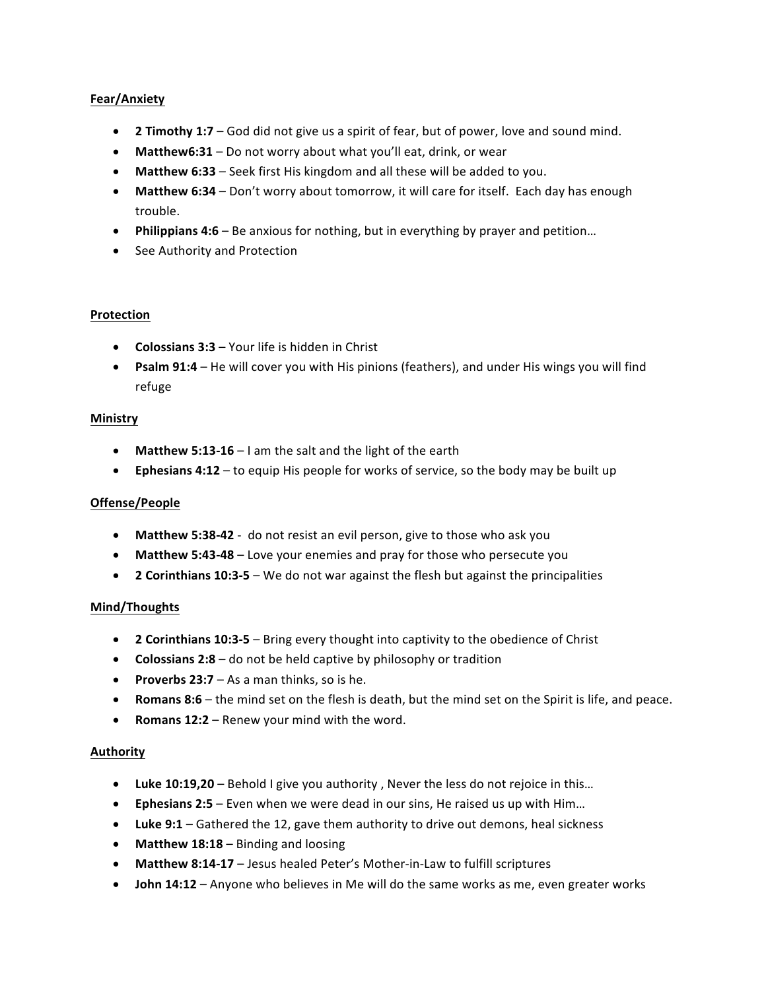# **Fear/Anxiety**

- **2 Timothy 1:7** God did not give us a spirit of fear, but of power, love and sound mind.
- Matthew6:31 Do not worry about what you'll eat, drink, or wear
- Matthew 6:33 Seek first His kingdom and all these will be added to you.
- Matthew 6:34 Don't worry about tomorrow, it will care for itself. Each day has enough trouble.
- Philippians 4:6 Be anxious for nothing, but in everything by prayer and petition...
- See Authority and Protection

## **Protection**

- **Colossians 3:3** Your life is hidden in Christ
- **Psalm 91:4** He will cover you with His pinions (feathers), and under His wings you will find refuge

#### **Ministry**

- Matthew 5:13-16 I am the salt and the light of the earth
- **Ephesians 4:12** to equip His people for works of service, so the body may be built up

## **Offense/People**

- Matthew 5:38-42 do not resist an evil person, give to those who ask you
- Matthew 5:43-48 Love your enemies and pray for those who persecute you
- **2 Corinthians 10:3-5** We do not war against the flesh but against the principalities

#### **Mind/Thoughts**

- **2 Corinthians 10:3-5** Bring every thought into captivity to the obedience of Christ
- **Colossians 2:8** do not be held captive by philosophy or tradition
- **Proverbs 23:7** As a man thinks, so is he.
- **Romans 8:6** the mind set on the flesh is death, but the mind set on the Spirit is life, and peace.
- **Romans 12:2** Renew your mind with the word.

#### **Authority**

- Luke 10:19,20 Behold I give you authority, Never the less do not rejoice in this...
- **Ephesians 2:5** Even when we were dead in our sins, He raised us up with Him...
- Luke 9:1 Gathered the 12, gave them authority to drive out demons, heal sickness
- **Matthew 18:18** Binding and loosing
- Matthew 8:14-17 Jesus healed Peter's Mother-in-Law to fulfill scriptures
- **John 14:12** Anyone who believes in Me will do the same works as me, even greater works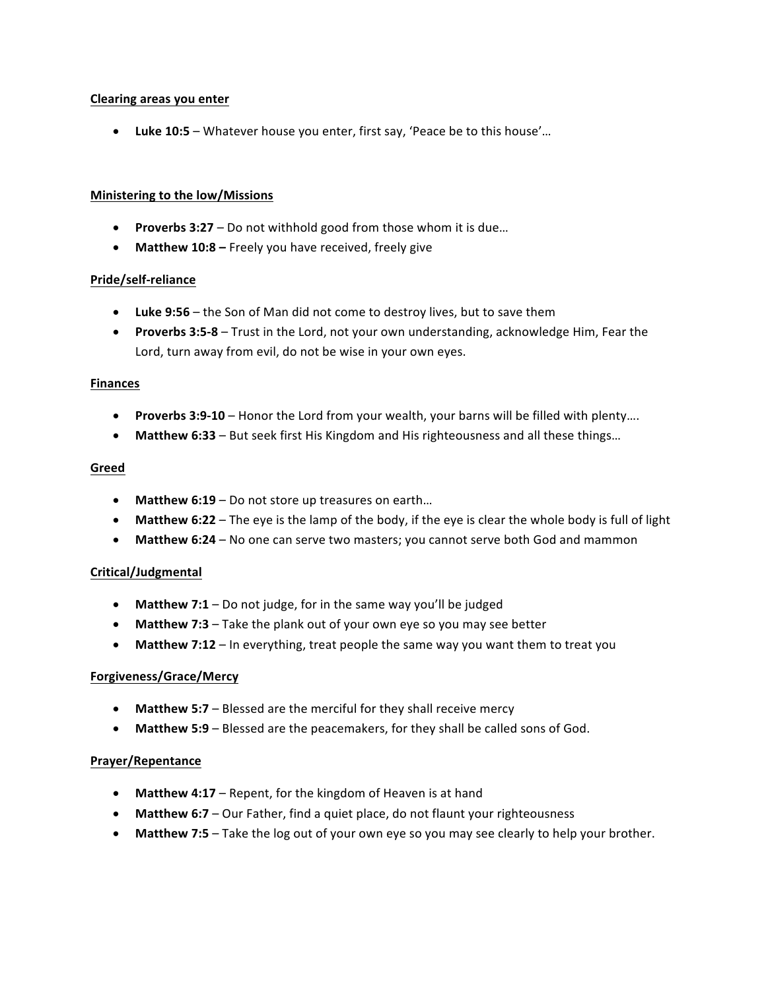#### **Clearing areas you enter**

• Luke 10:5 – Whatever house you enter, first say, 'Peace be to this house'...

#### **Ministering to the low/Missions**

- Proverbs 3:27 Do not withhold good from those whom it is due...
- Matthew 10:8 Freely you have received, freely give

## **Pride/self-reliance**

- Luke 9:56 the Son of Man did not come to destroy lives, but to save them
- Proverbs 3:5-8 Trust in the Lord, not your own understanding, acknowledge Him, Fear the Lord, turn away from evil, do not be wise in your own eyes.

#### **Finances**

- **Proverbs 3:9-10** Honor the Lord from your wealth, your barns will be filled with plenty....
- Matthew 6:33 But seek first His Kingdom and His righteousness and all these things...

#### **Greed**

- Matthew 6:19 Do not store up treasures on earth...
- Matthew 6:22 The eye is the lamp of the body, if the eye is clear the whole body is full of light
- Matthew 6:24 No one can serve two masters; you cannot serve both God and mammon

## **Critical/Judgmental**

- Matthew 7:1 Do not judge, for in the same way you'll be judged
- Matthew 7:3 Take the plank out of your own eye so you may see better
- Matthew 7:12 In everything, treat people the same way you want them to treat you

#### **Forgiveness/Grace/Mercy**

- Matthew 5:7 Blessed are the merciful for they shall receive mercy
- Matthew 5:9 Blessed are the peacemakers, for they shall be called sons of God.

#### **Prayer/Repentance**

- Matthew 4:17 Repent, for the kingdom of Heaven is at hand
- Matthew 6:7 Our Father, find a quiet place, do not flaunt your righteousness
- Matthew 7:5 Take the log out of your own eye so you may see clearly to help your brother.